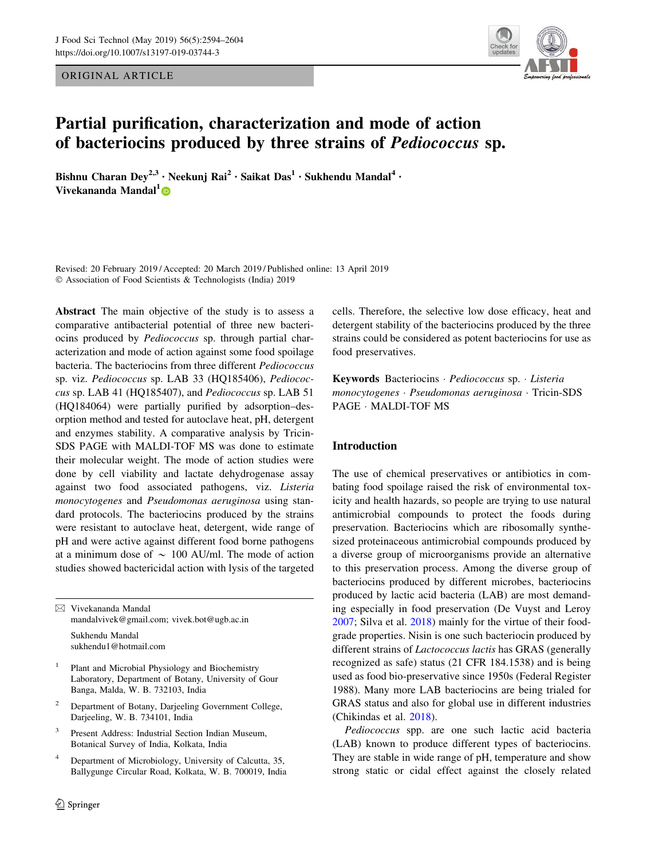ORIGINAL ARTICLE



# Partial purification, characterization and mode of action of bacteriocins produced by three strains of Pediococcus sp.

Bishnu Charan Dey<sup>2,3</sup> · Neekunj Rai<sup>2</sup> · Saikat Das<sup>1</sup> · Sukhendu Mandal<sup>4</sup> · Vivekananda Mandal<sup>1</sup> D

Revised: 20 February 2019 / Accepted: 20 March 2019 / Published online: 13 April 2019 - Association of Food Scientists & Technologists (India) 2019

Abstract The main objective of the study is to assess a comparative antibacterial potential of three new bacteriocins produced by Pediococcus sp. through partial characterization and mode of action against some food spoilage bacteria. The bacteriocins from three different Pediococcus sp. viz. Pediococcus sp. LAB 33 (HQ185406), Pediococcus sp. LAB 41 (HQ185407), and Pediococcus sp. LAB 51 (HQ184064) were partially purified by adsorption–desorption method and tested for autoclave heat, pH, detergent and enzymes stability. A comparative analysis by Tricin-SDS PAGE with MALDI-TOF MS was done to estimate their molecular weight. The mode of action studies were done by cell viability and lactate dehydrogenase assay against two food associated pathogens, viz. Listeria monocytogenes and Pseudomonas aeruginosa using standard protocols. The bacteriocins produced by the strains were resistant to autoclave heat, detergent, wide range of pH and were active against different food borne pathogens at a minimum dose of  $\sim 100$  AU/ml. The mode of action studies showed bactericidal action with lysis of the targeted

 $\boxtimes$  Vivekananda Mandal mandalvivek@gmail.com; vivek.bot@ugb.ac.in

Sukhendu Mandal sukhendu1@hotmail.com

- 1 Plant and Microbial Physiology and Biochemistry Laboratory, Department of Botany, University of Gour Banga, Malda, W. B. 732103, India
- <sup>2</sup> Department of Botany, Darjeeling Government College, Darjeeling, W. B. 734101, India
- 3 Present Address: Industrial Section Indian Museum, Botanical Survey of India, Kolkata, India
- <sup>4</sup> Department of Microbiology, University of Calcutta, 35, Ballygunge Circular Road, Kolkata, W. B. 700019, India

cells. Therefore, the selective low dose efficacy, heat and detergent stability of the bacteriocins produced by the three strains could be considered as potent bacteriocins for use as food preservatives.

Keywords Bacteriocins · Pediococcus sp. · Listeria monocytogenes - Pseudomonas aeruginosa - Tricin-SDS PAGE - MALDI-TOF MS

## Introduction

The use of chemical preservatives or antibiotics in combating food spoilage raised the risk of environmental toxicity and health hazards, so people are trying to use natural antimicrobial compounds to protect the foods during preservation. Bacteriocins which are ribosomally synthesized proteinaceous antimicrobial compounds produced by a diverse group of microorganisms provide an alternative to this preservation process. Among the diverse group of bacteriocins produced by different microbes, bacteriocins produced by lactic acid bacteria (LAB) are most demanding especially in food preservation (De Vuyst and Leroy [2007](#page-10-0); Silva et al. [2018\)](#page-10-0) mainly for the virtue of their foodgrade properties. Nisin is one such bacteriocin produced by different strains of Lactococcus lactis has GRAS (generally recognized as safe) status (21 CFR 184.1538) and is being used as food bio-preservative since 1950s (Federal Register 1988). Many more LAB bacteriocins are being trialed for GRAS status and also for global use in different industries (Chikindas et al. [2018](#page-10-0)).

Pediococcus spp. are one such lactic acid bacteria (LAB) known to produce different types of bacteriocins. They are stable in wide range of pH, temperature and show strong static or cidal effect against the closely related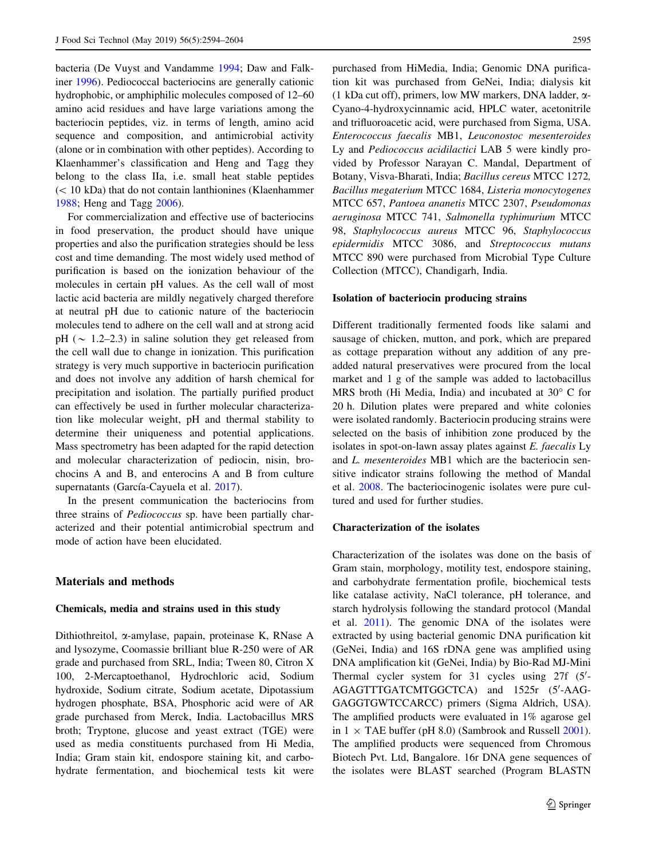bacteria (De Vuyst and Vandamme [1994;](#page-10-0) Daw and Falkiner [1996\)](#page-10-0). Pediococcal bacteriocins are generally cationic hydrophobic, or amphiphilic molecules composed of 12–60 amino acid residues and have large variations among the bacteriocin peptides, viz. in terms of length, amino acid sequence and composition, and antimicrobial activity (alone or in combination with other peptides). According to Klaenhammer's classification and Heng and Tagg they belong to the class IIa, i.e. small heat stable peptides  $(< 10$  kDa) that do not contain lanthionines (Klaenhammer [1988;](#page-10-0) Heng and Tagg [2006\)](#page-10-0).

For commercialization and effective use of bacteriocins in food preservation, the product should have unique properties and also the purification strategies should be less cost and time demanding. The most widely used method of purification is based on the ionization behaviour of the molecules in certain pH values. As the cell wall of most lactic acid bacteria are mildly negatively charged therefore at neutral pH due to cationic nature of the bacteriocin molecules tend to adhere on the cell wall and at strong acid pH ( $\sim$  1.2–2.3) in saline solution they get released from the cell wall due to change in ionization. This purification strategy is very much supportive in bacteriocin purification and does not involve any addition of harsh chemical for precipitation and isolation. The partially purified product can effectively be used in further molecular characterization like molecular weight, pH and thermal stability to determine their uniqueness and potential applications. Mass spectrometry has been adapted for the rapid detection and molecular characterization of pediocin, nisin, brochocins A and B, and enterocins A and B from culture supernatants (García-Cayuela et al. [2017\)](#page-10-0).

In the present communication the bacteriocins from three strains of Pediococcus sp. have been partially characterized and their potential antimicrobial spectrum and mode of action have been elucidated.

## Materials and methods

#### Chemicals, media and strains used in this study

Dithiothreitol, a-amylase, papain, proteinase K, RNase A and lysozyme, Coomassie brilliant blue R-250 were of AR grade and purchased from SRL, India; Tween 80, Citron X 100, 2-Mercaptoethanol, Hydrochloric acid, Sodium hydroxide, Sodium citrate, Sodium acetate, Dipotassium hydrogen phosphate, BSA, Phosphoric acid were of AR grade purchased from Merck, India. Lactobacillus MRS broth; Tryptone, glucose and yeast extract (TGE) were used as media constituents purchased from Hi Media, India; Gram stain kit, endospore staining kit, and carbohydrate fermentation, and biochemical tests kit were purchased from HiMedia, India; Genomic DNA purification kit was purchased from GeNei, India; dialysis kit (1 kDa cut off), primers, low MW markers, DNA ladder,  $\alpha$ -Cyano-4-hydroxycinnamic acid, HPLC water, acetonitrile and trifluoroacetic acid, were purchased from Sigma, USA. Enterococcus faecalis MB1, Leuconostoc mesenteroides Ly and Pediococcus acidilactici LAB 5 were kindly provided by Professor Narayan C. Mandal, Department of Botany, Visva-Bharati, India; Bacillus cereus MTCC 1272, Bacillus megaterium MTCC 1684, Listeria monocytogenes MTCC 657, Pantoea ananetis MTCC 2307, Pseudomonas aeruginosa MTCC 741, Salmonella typhimurium MTCC 98, Staphylococcus aureus MTCC 96, Staphylococcus epidermidis MTCC 3086, and Streptococcus mutans MTCC 890 were purchased from Microbial Type Culture Collection (MTCC), Chandigarh, India.

#### Isolation of bacteriocin producing strains

Different traditionally fermented foods like salami and sausage of chicken, mutton, and pork, which are prepared as cottage preparation without any addition of any preadded natural preservatives were procured from the local market and 1 g of the sample was added to lactobacillus MRS broth (Hi Media, India) and incubated at  $30^{\circ}$  C for 20 h. Dilution plates were prepared and white colonies were isolated randomly. Bacteriocin producing strains were selected on the basis of inhibition zone produced by the isolates in spot-on-lawn assay plates against E. faecalis Ly and L. mesenteroides MB1 which are the bacteriocin sensitive indicator strains following the method of Mandal et al. [2008](#page-10-0). The bacteriocinogenic isolates were pure cultured and used for further studies.

#### Characterization of the isolates

Characterization of the isolates was done on the basis of Gram stain, morphology, motility test, endospore staining, and carbohydrate fermentation profile, biochemical tests like catalase activity, NaCl tolerance, pH tolerance, and starch hydrolysis following the standard protocol (Mandal et al. [2011](#page-10-0)). The genomic DNA of the isolates were extracted by using bacterial genomic DNA purification kit (GeNei, India) and 16S rDNA gene was amplified using DNA amplification kit (GeNei, India) by Bio-Rad MJ-Mini Thermal cycler system for  $31$  cycles using  $27f$  ( $5'$ -AGAGTTTGATCMTGGCTCA) and 1525r (5'-AAG-GAGGTGWTCCARCC) primers (Sigma Aldrich, USA). The amplified products were evaluated in 1% agarose gel in 1  $\times$  TAE buffer (pH 8.0) (Sambrook and Russell [2001](#page-10-0)). The amplified products were sequenced from Chromous Biotech Pvt. Ltd, Bangalore. 16r DNA gene sequences of the isolates were BLAST searched (Program BLASTN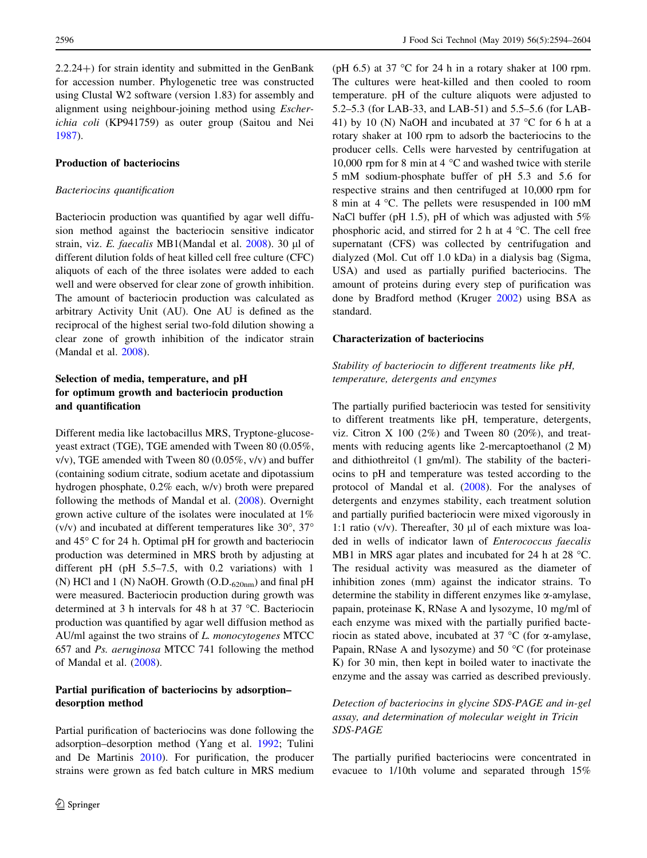$2.2.24$ +) for strain identity and submitted in the GenBank for accession number. Phylogenetic tree was constructed using Clustal W2 software (version 1.83) for assembly and alignment using neighbour-joining method using Escherichia coli (KP941759) as outer group (Saitou and Nei [1987\)](#page-10-0).

#### Production of bacteriocins

#### Bacteriocins quantification

Bacteriocin production was quantified by agar well diffusion method against the bacteriocin sensitive indicator strain, viz. E. faecalis MB1(Mandal et al.  $2008$ ). 30 µl of different dilution folds of heat killed cell free culture (CFC) aliquots of each of the three isolates were added to each well and were observed for clear zone of growth inhibition. The amount of bacteriocin production was calculated as arbitrary Activity Unit (AU). One AU is defined as the reciprocal of the highest serial two-fold dilution showing a clear zone of growth inhibition of the indicator strain (Mandal et al. [2008\)](#page-10-0).

# Selection of media, temperature, and pH for optimum growth and bacteriocin production and quantification

Different media like lactobacillus MRS, Tryptone-glucoseyeast extract (TGE), TGE amended with Tween 80 (0.05%,  $v/v$ ), TGE amended with Tween 80 (0.05%,  $v/v$ ) and buffer (containing sodium citrate, sodium acetate and dipotassium hydrogen phosphate, 0.2% each, w/v) broth were prepared following the methods of Mandal et al. [\(2008](#page-10-0)). Overnight grown active culture of the isolates were inoculated at 1% (v/v) and incubated at different temperatures like  $30^{\circ}$ ,  $37^{\circ}$ and  $45^{\circ}$  C for 24 h. Optimal pH for growth and bacteriocin production was determined in MRS broth by adjusting at different pH (pH 5.5–7.5, with 0.2 variations) with 1 (N) HCl and 1 (N) NaOH. Growth  $(O.D._{620nm})$  and final pH were measured. Bacteriocin production during growth was determined at 3 h intervals for 48 h at 37  $^{\circ}$ C. Bacteriocin production was quantified by agar well diffusion method as AU/ml against the two strains of L. monocytogenes MTCC 657 and Ps. aeruginosa MTCC 741 following the method of Mandal et al. ([2008\)](#page-10-0).

## Partial purification of bacteriocins by adsorption– desorption method

Partial purification of bacteriocins was done following the adsorption–desorption method (Yang et al. [1992;](#page-10-0) Tulini and De Martinis [2010\)](#page-10-0). For purification, the producer strains were grown as fed batch culture in MRS medium (pH 6.5) at 37  $\degree$ C for 24 h in a rotary shaker at 100 rpm. The cultures were heat-killed and then cooled to room temperature. pH of the culture aliquots were adjusted to 5.2–5.3 (for LAB-33, and LAB-51) and 5.5–5.6 (for LAB-41) by 10 (N) NaOH and incubated at 37  $\degree$ C for 6 h at a rotary shaker at 100 rpm to adsorb the bacteriocins to the producer cells. Cells were harvested by centrifugation at 10,000 rpm for 8 min at 4  $\degree$ C and washed twice with sterile 5 mM sodium-phosphate buffer of pH 5.3 and 5.6 for respective strains and then centrifuged at 10,000 rpm for 8 min at 4 °C. The pellets were resuspended in 100 mM NaCl buffer (pH 1.5), pH of which was adjusted with 5% phosphoric acid, and stirred for 2 h at  $4^{\circ}$ C. The cell free supernatant (CFS) was collected by centrifugation and dialyzed (Mol. Cut off 1.0 kDa) in a dialysis bag (Sigma, USA) and used as partially purified bacteriocins. The amount of proteins during every step of purification was done by Bradford method (Kruger [2002](#page-10-0)) using BSA as standard.

#### Characterization of bacteriocins

Stability of bacteriocin to different treatments like pH, temperature, detergents and enzymes

The partially purified bacteriocin was tested for sensitivity to different treatments like pH, temperature, detergents, viz. Citron X 100  $(2\%)$  and Tween 80  $(20\%)$ , and treatments with reducing agents like 2-mercaptoethanol (2 M) and dithiothreitol (1 gm/ml). The stability of the bacteriocins to pH and temperature was tested according to the protocol of Mandal et al. [\(2008](#page-10-0)). For the analyses of detergents and enzymes stability, each treatment solution and partially purified bacteriocin were mixed vigorously in 1:1 ratio ( $v/v$ ). Thereafter, 30  $\mu$ l of each mixture was loaded in wells of indicator lawn of Enterococcus faecalis MB1 in MRS agar plates and incubated for 24 h at 28  $^{\circ}$ C. The residual activity was measured as the diameter of inhibition zones (mm) against the indicator strains. To determine the stability in different enzymes like  $\alpha$ -amylase, papain, proteinase K, RNase A and lysozyme, 10 mg/ml of each enzyme was mixed with the partially purified bacteriocin as stated above, incubated at 37  $\mathrm{^{\circ}C}$  (for  $\alpha$ -amylase, Papain, RNase A and lysozyme) and  $50^{\circ}$ C (for proteinase K) for 30 min, then kept in boiled water to inactivate the enzyme and the assay was carried as described previously.

Detection of bacteriocins in glycine SDS-PAGE and in-gel assay, and determination of molecular weight in Tricin SDS-PAGE

The partially purified bacteriocins were concentrated in evacuee to 1/10th volume and separated through 15%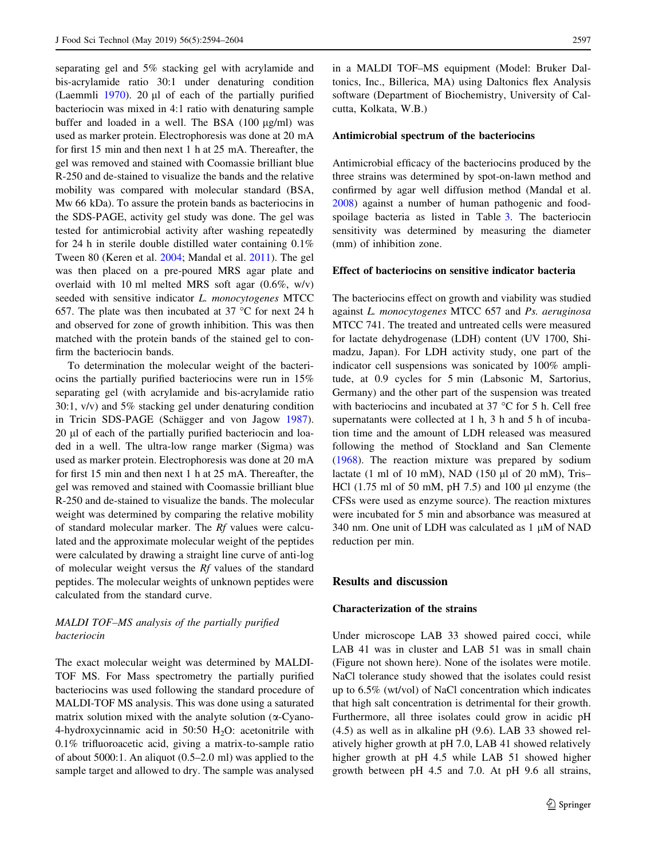separating gel and 5% stacking gel with acrylamide and bis-acrylamide ratio 30:1 under denaturing condition (Laemmli  $1970$ ). 20 µl of each of the partially purified bacteriocin was mixed in 4:1 ratio with denaturing sample buffer and loaded in a well. The BSA  $(100 \mu g/ml)$  was used as marker protein. Electrophoresis was done at 20 mA for first 15 min and then next 1 h at 25 mA. Thereafter, the gel was removed and stained with Coomassie brilliant blue R-250 and de-stained to visualize the bands and the relative mobility was compared with molecular standard (BSA, Mw 66 kDa). To assure the protein bands as bacteriocins in the SDS-PAGE, activity gel study was done. The gel was tested for antimicrobial activity after washing repeatedly for 24 h in sterile double distilled water containing 0.1% Tween 80 (Keren et al. [2004;](#page-10-0) Mandal et al. [2011\)](#page-10-0). The gel was then placed on a pre-poured MRS agar plate and overlaid with 10 ml melted MRS soft agar (0.6%, w/v) seeded with sensitive indicator L. monocytogenes MTCC 657. The plate was then incubated at 37  $\degree$ C for next 24 h and observed for zone of growth inhibition. This was then matched with the protein bands of the stained gel to confirm the bacteriocin bands.

To determination the molecular weight of the bacteriocins the partially purified bacteriocins were run in 15% separating gel (with acrylamide and bis-acrylamide ratio 30:1, v/v) and 5% stacking gel under denaturing condition in Tricin SDS-PAGE (Schägger and von Jagow [1987](#page-10-0)). 20 µl of each of the partially purified bacteriocin and loaded in a well. The ultra-low range marker (Sigma) was used as marker protein. Electrophoresis was done at 20 mA for first 15 min and then next 1 h at 25 mA. Thereafter, the gel was removed and stained with Coomassie brilliant blue R-250 and de-stained to visualize the bands. The molecular weight was determined by comparing the relative mobility of standard molecular marker. The Rf values were calculated and the approximate molecular weight of the peptides were calculated by drawing a straight line curve of anti-log of molecular weight versus the Rf values of the standard peptides. The molecular weights of unknown peptides were calculated from the standard curve.

# MALDI TOF–MS analysis of the partially purified bacteriocin

The exact molecular weight was determined by MALDI-TOF MS. For Mass spectrometry the partially purified bacteriocins was used following the standard procedure of MALDI-TOF MS analysis. This was done using a saturated matrix solution mixed with the analyte solution ( $\alpha$ -Cyano-4-hydroxycinnamic acid in 50:50  $H<sub>2</sub>O$ : acetonitrile with 0.1% trifluoroacetic acid, giving a matrix-to-sample ratio of about 5000:1. An aliquot (0.5–2.0 ml) was applied to the sample target and allowed to dry. The sample was analysed in a MALDI TOF–MS equipment (Model: Bruker Daltonics, Inc., Billerica, MA) using Daltonics flex Analysis software (Department of Biochemistry, University of Calcutta, Kolkata, W.B.)

#### Antimicrobial spectrum of the bacteriocins

Antimicrobial efficacy of the bacteriocins produced by the three strains was determined by spot-on-lawn method and confirmed by agar well diffusion method (Mandal et al. [2008](#page-10-0)) against a number of human pathogenic and foodspoilage bacteria as listed in Table [3.](#page-8-0) The bacteriocin sensitivity was determined by measuring the diameter (mm) of inhibition zone.

## Effect of bacteriocins on sensitive indicator bacteria

The bacteriocins effect on growth and viability was studied against L. monocytogenes MTCC 657 and Ps. aeruginosa MTCC 741. The treated and untreated cells were measured for lactate dehydrogenase (LDH) content (UV 1700, Shimadzu, Japan). For LDH activity study, one part of the indicator cell suspensions was sonicated by 100% amplitude, at 0.9 cycles for 5 min (Labsonic M, Sartorius, Germany) and the other part of the suspension was treated with bacteriocins and incubated at  $37^{\circ}$ C for 5 h. Cell free supernatants were collected at 1 h, 3 h and 5 h of incubation time and the amount of LDH released was measured following the method of Stockland and San Clemente [\(1968](#page-10-0)). The reaction mixture was prepared by sodium lactate (1 ml of 10 mM), NAD (150  $\mu$ l of 20 mM), Tris-HCl  $(1.75 \text{ ml of } 50 \text{ mM}, \text{pH } 7.5)$  and  $100 \text{ µl enzyme}$  (the CFSs were used as enzyme source). The reaction mixtures were incubated for 5 min and absorbance was measured at 340 nm. One unit of LDH was calculated as  $1 \mu M$  of NAD reduction per min.

## Results and discussion

#### Characterization of the strains

Under microscope LAB 33 showed paired cocci, while LAB 41 was in cluster and LAB 51 was in small chain (Figure not shown here). None of the isolates were motile. NaCl tolerance study showed that the isolates could resist up to 6.5% (wt/vol) of NaCl concentration which indicates that high salt concentration is detrimental for their growth. Furthermore, all three isolates could grow in acidic pH (4.5) as well as in alkaline pH (9.6). LAB 33 showed relatively higher growth at pH 7.0, LAB 41 showed relatively higher growth at pH 4.5 while LAB 51 showed higher growth between pH 4.5 and 7.0. At pH 9.6 all strains,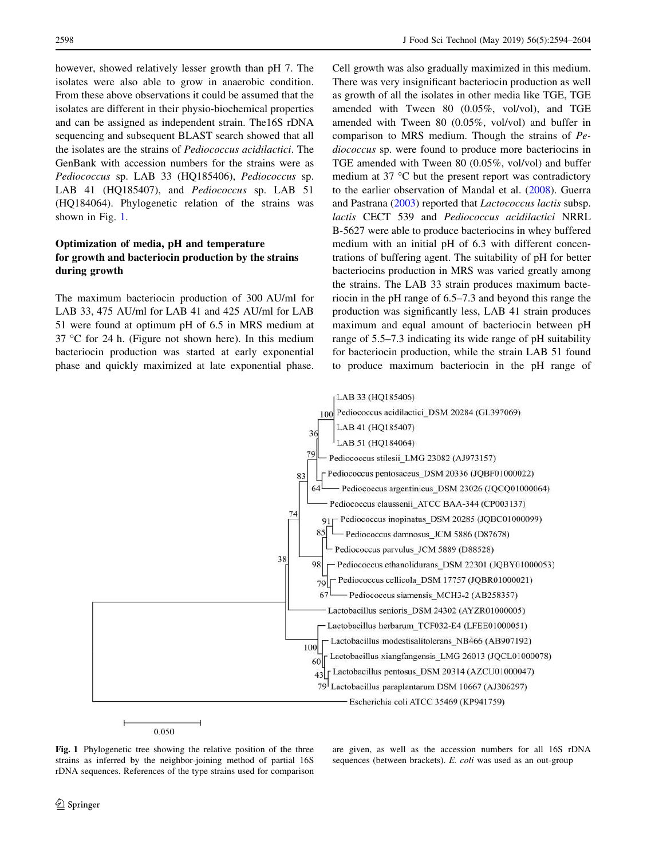however, showed relatively lesser growth than pH 7. The isolates were also able to grow in anaerobic condition. From these above observations it could be assumed that the isolates are different in their physio-biochemical properties and can be assigned as independent strain. The16S rDNA sequencing and subsequent BLAST search showed that all the isolates are the strains of Pediococcus acidilactici. The GenBank with accession numbers for the strains were as Pediococcus sp. LAB 33 (HQ185406), Pediococcus sp. LAB 41 (HQ185407), and Pediococcus sp. LAB 51 (HQ184064). Phylogenetic relation of the strains was shown in Fig. 1.

# Optimization of media, pH and temperature for growth and bacteriocin production by the strains during growth

The maximum bacteriocin production of 300 AU/ml for LAB 33, 475 AU/ml for LAB 41 and 425 AU/ml for LAB 51 were found at optimum pH of 6.5 in MRS medium at  $37^{\circ}$ C for 24 h. (Figure not shown here). In this medium bacteriocin production was started at early exponential phase and quickly maximized at late exponential phase.

Cell growth was also gradually maximized in this medium. There was very insignificant bacteriocin production as well as growth of all the isolates in other media like TGE, TGE amended with Tween 80 (0.05%, vol/vol), and TGE amended with Tween 80 (0.05%, vol/vol) and buffer in comparison to MRS medium. Though the strains of Pediococcus sp. were found to produce more bacteriocins in TGE amended with Tween 80 (0.05%, vol/vol) and buffer medium at 37 $\degree$ C but the present report was contradictory to the earlier observation of Mandal et al. [\(2008](#page-10-0)). Guerra and Pastrana ([2003\)](#page-10-0) reported that Lactococcus lactis subsp. lactis CECT 539 and Pediococcus acidilactici NRRL B-5627 were able to produce bacteriocins in whey buffered medium with an initial pH of 6.3 with different concentrations of buffering agent. The suitability of pH for better bacteriocins production in MRS was varied greatly among the strains. The LAB 33 strain produces maximum bacteriocin in the pH range of 6.5–7.3 and beyond this range the production was significantly less, LAB 41 strain produces maximum and equal amount of bacteriocin between pH range of 5.5–7.3 indicating its wide range of pH suitability for bacteriocin production, while the strain LAB 51 found to produce maximum bacteriocin in the pH range of



Fig. 1 Phylogenetic tree showing the relative position of the three strains as inferred by the neighbor-joining method of partial 16S rDNA sequences. References of the type strains used for comparison

are given, as well as the accession numbers for all 16S rDNA sequences (between brackets). E. coli was used as an out-group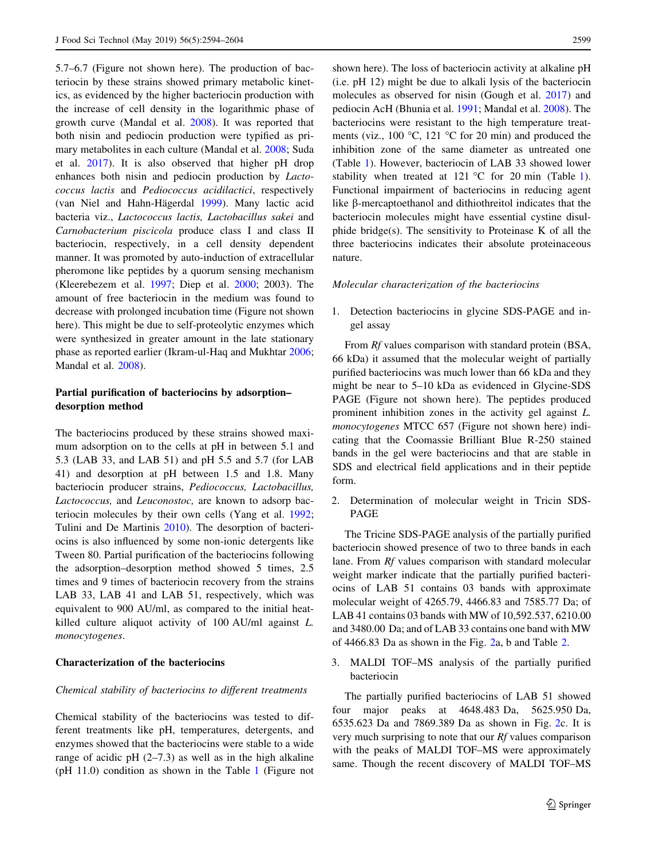5.7–6.7 (Figure not shown here). The production of bacteriocin by these strains showed primary metabolic kinetics, as evidenced by the higher bacteriocin production with the increase of cell density in the logarithmic phase of growth curve (Mandal et al. [2008](#page-10-0)). It was reported that both nisin and pediocin production were typified as primary metabolites in each culture (Mandal et al. [2008;](#page-10-0) Suda et al. [2017\)](#page-10-0). It is also observed that higher pH drop enhances both nisin and pediocin production by Lactococcus lactis and Pediococcus acidilactici, respectively (van Niel and Hahn-Hägerdal [1999\)](#page-10-0). Many lactic acid bacteria viz., Lactococcus lactis, Lactobacillus sakei and Carnobacterium piscicola produce class I and class II bacteriocin, respectively, in a cell density dependent manner. It was promoted by auto-induction of extracellular pheromone like peptides by a quorum sensing mechanism (Kleerebezem et al. [1997](#page-10-0); Diep et al. [2000;](#page-10-0) 2003). The amount of free bacteriocin in the medium was found to decrease with prolonged incubation time (Figure not shown here). This might be due to self-proteolytic enzymes which were synthesized in greater amount in the late stationary phase as reported earlier (Ikram-ul-Haq and Mukhtar [2006](#page-10-0); Mandal et al. [2008\)](#page-10-0).

## Partial purification of bacteriocins by adsorption– desorption method

The bacteriocins produced by these strains showed maximum adsorption on to the cells at pH in between 5.1 and 5.3 (LAB 33, and LAB 51) and pH 5.5 and 5.7 (for LAB 41) and desorption at pH between 1.5 and 1.8. Many bacteriocin producer strains, Pediococcus, Lactobacillus, Lactococcus, and Leuconostoc, are known to adsorp bacteriocin molecules by their own cells (Yang et al. [1992](#page-10-0); Tulini and De Martinis [2010\)](#page-10-0). The desorption of bacteriocins is also influenced by some non-ionic detergents like Tween 80. Partial purification of the bacteriocins following the adsorption–desorption method showed 5 times, 2.5 times and 9 times of bacteriocin recovery from the strains LAB 33, LAB 41 and LAB 51, respectively, which was equivalent to 900 AU/ml, as compared to the initial heatkilled culture aliquot activity of 100 AU/ml against L. monocytogenes.

## Characterization of the bacteriocins

#### Chemical stability of bacteriocins to different treatments

Chemical stability of the bacteriocins was tested to different treatments like pH, temperatures, detergents, and enzymes showed that the bacteriocins were stable to a wide range of acidic pH  $(2–7.3)$  as well as in the high alkaline (pH 11.0) condition as shown in the Table [1](#page-6-0) (Figure not shown here). The loss of bacteriocin activity at alkaline pH (i.e. pH 12) might be due to alkali lysis of the bacteriocin molecules as observed for nisin (Gough et al. [2017](#page-10-0)) and pediocin AcH (Bhunia et al. [1991;](#page-10-0) Mandal et al. [2008](#page-10-0)). The bacteriocins were resistant to the high temperature treatments (viz., 100  $\degree$ C, 121  $\degree$ C for 20 min) and produced the inhibition zone of the same diameter as untreated one (Table [1\)](#page-6-0). However, bacteriocin of LAB 33 showed lower stability when treated at [1](#page-6-0)21 °C for 20 min (Table 1). Functional impairment of bacteriocins in reducing agent like b-mercaptoethanol and dithiothreitol indicates that the bacteriocin molecules might have essential cystine disulphide bridge(s). The sensitivity to Proteinase K of all the three bacteriocins indicates their absolute proteinaceous nature.

#### Molecular characterization of the bacteriocins

1. Detection bacteriocins in glycine SDS-PAGE and ingel assay

From Rf values comparison with standard protein (BSA, 66 kDa) it assumed that the molecular weight of partially purified bacteriocins was much lower than 66 kDa and they might be near to 5–10 kDa as evidenced in Glycine-SDS PAGE (Figure not shown here). The peptides produced prominent inhibition zones in the activity gel against L. monocytogenes MTCC 657 (Figure not shown here) indicating that the Coomassie Brilliant Blue R-250 stained bands in the gel were bacteriocins and that are stable in SDS and electrical field applications and in their peptide form.

2. Determination of molecular weight in Tricin SDS-PAGE

The Tricine SDS-PAGE analysis of the partially purified bacteriocin showed presence of two to three bands in each lane. From Rf values comparison with standard molecular weight marker indicate that the partially purified bacteriocins of LAB 51 contains 03 bands with approximate molecular weight of 4265.79, 4466.83 and 7585.77 Da; of LAB 41 contains 03 bands with MW of 10,592.537, 6210.00 and 3480.00 Da; and of LAB 33 contains one band with MW of 4466.83 Da as shown in the Fig. [2](#page-7-0)a, b and Table [2](#page-8-0).

3. MALDI TOF–MS analysis of the partially purified bacteriocin

The partially purified bacteriocins of LAB 51 showed four major peaks at 4648.483 Da, 5625.950 Da, 6535.623 Da and 7869.389 Da as shown in Fig. [2](#page-7-0)c. It is very much surprising to note that our Rf values comparison with the peaks of MALDI TOF–MS were approximately same. Though the recent discovery of MALDI TOF–MS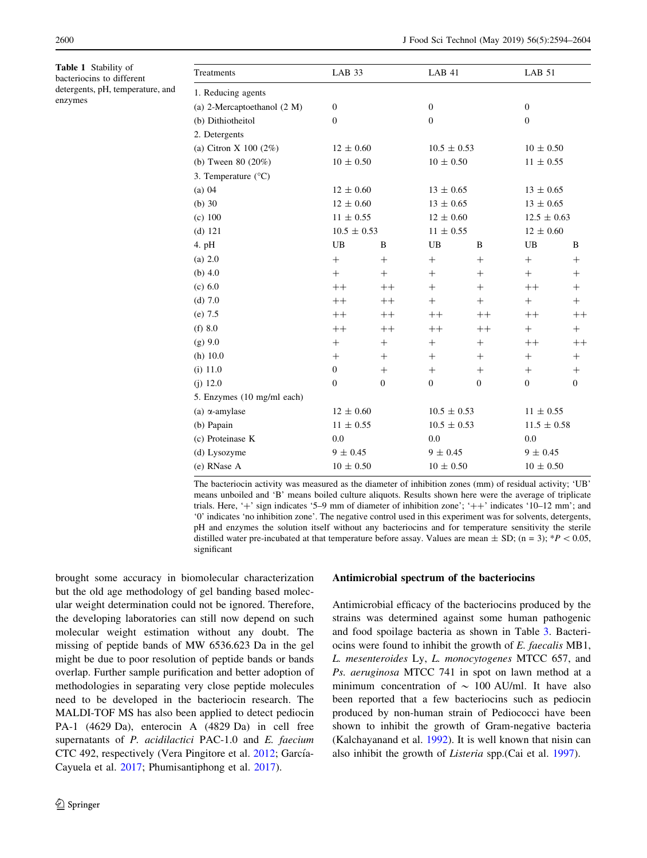<span id="page-6-0"></span>Table 1 Stability of bacteriocins to different detergents, pH, temperature, and enzymes

| LAB 33           |              | LAB 41           |              | LAB 51           |              |
|------------------|--------------|------------------|--------------|------------------|--------------|
|                  |              |                  |              |                  |              |
| $\boldsymbol{0}$ |              | $\boldsymbol{0}$ |              | $\boldsymbol{0}$ |              |
| $\Omega$         |              | $\mathbf{0}$     |              | $\mathbf{0}$     |              |
|                  |              |                  |              |                  |              |
| $12 \pm 0.60$    |              | $10.5 \pm 0.53$  |              | $10 \pm 0.50$    |              |
| $10 \pm 0.50$    |              | $10 \pm 0.50$    |              | $11 \pm 0.55$    |              |
|                  |              |                  |              |                  |              |
| $12 \pm 0.60$    |              | $13 \pm 0.65$    |              | $13 \pm 0.65$    |              |
| $12 \pm 0.60$    |              | $13 \pm 0.65$    |              | $13 \pm 0.65$    |              |
| $11 \pm 0.55$    |              | $12 \pm 0.60$    |              | $12.5 \pm 0.63$  |              |
| $10.5 \pm 0.53$  |              | $11 \pm 0.55$    |              | $12 \pm 0.60$    |              |
| UB               | B            | UB               | B            | UB               | B            |
| $^{+}$           | $^{+}$       | $^{+}$           | $^{+}$       | $^{+}$           | $^{+}$       |
| $+$              | $+$          | $^{+}$           | $^{+}$       | $+$              | $^{+}$       |
| $++$             | $++$         | $+$              | $+$          | $++$             | $^{+}$       |
| $++$             | $++$         | $^{+}$           | $^{+}$       | $^{+}$           | $^{+}$       |
| $++$             | $++$         | $++$             | $++$         | $++$             | $^{++}$      |
| $++$             | $++$         | $++$             | $++$         | $+$              | $+$          |
| $^{+}$           | $^{+}$       | $^{+}$           | $^{+}$       | $++$             | $^{++}$      |
| $^{+}$           | $^{+}$       | $^{+}$           | $^{+}$       | $^{+}$           | $^{+}$       |
| $\boldsymbol{0}$ | $^{+}$       | $+$              | $^{+}$       | $^{+}$           | $^{+}$       |
| $\boldsymbol{0}$ | $\mathbf{0}$ | $\mathbf{0}$     | $\mathbf{0}$ | $\mathbf{0}$     | $\mathbf{0}$ |
|                  |              |                  |              |                  |              |
| $12 \pm 0.60$    |              | $10.5 \pm 0.53$  |              | $11 \pm 0.55$    |              |
| $11 \pm 0.55$    |              | $10.5 \pm 0.53$  |              | $11.5 \pm 0.58$  |              |
| 0.0              |              | 0.0              |              | 0.0              |              |
| $9 \pm 0.45$     |              | $9 \pm 0.45$     |              | $9 \pm 0.45$     |              |
| $10 \pm 0.50$    |              | $10 \pm 0.50$    |              | $10 \pm 0.50$    |              |
|                  |              |                  |              |                  |              |

The bacteriocin activity was measured as the diameter of inhibition zones (mm) of residual activity; 'UB' means unboiled and 'B' means boiled culture aliquots. Results shown here were the average of triplicate trials. Here, '+' sign indicates '5–9 mm of diameter of inhibition zone'; ' $++$ ' indicates '10–12 mm'; and '0' indicates 'no inhibition zone'. The negative control used in this experiment was for solvents, detergents, pH and enzymes the solution itself without any bacteriocins and for temperature sensitivity the sterile distilled water pre-incubated at that temperature before assay. Values are mean  $\pm$  SD; (n = 3); \*P < 0.05, significant

brought some accuracy in biomolecular characterization but the old age methodology of gel banding based molecular weight determination could not be ignored. Therefore, the developing laboratories can still now depend on such molecular weight estimation without any doubt. The missing of peptide bands of MW 6536.623 Da in the gel might be due to poor resolution of peptide bands or bands overlap. Further sample purification and better adoption of methodologies in separating very close peptide molecules need to be developed in the bacteriocin research. The MALDI-TOF MS has also been applied to detect pediocin PA-1 (4629 Da), enterocin A (4829 Da) in cell free supernatants of *P. acidilactici* PAC-1.0 and *E. faecium* CTC 492, respectively (Vera Pingitore et al. [2012](#page-10-0); García-Cayuela et al. [2017;](#page-10-0) Phumisantiphong et al. [2017\)](#page-10-0).

## Antimicrobial spectrum of the bacteriocins

Antimicrobial efficacy of the bacteriocins produced by the strains was determined against some human pathogenic and food spoilage bacteria as shown in Table [3](#page-8-0). Bacteriocins were found to inhibit the growth of E. faecalis MB1, L. mesenteroides Ly, L. monocytogenes MTCC 657, and Ps. aeruginosa MTCC 741 in spot on lawn method at a minimum concentration of  $\sim 100$  AU/ml. It have also been reported that a few bacteriocins such as pediocin produced by non-human strain of Pediococci have been shown to inhibit the growth of Gram-negative bacteria (Kalchayanand et al. [1992](#page-10-0)). It is well known that nisin can also inhibit the growth of Listeria spp.(Cai et al. [1997\)](#page-10-0).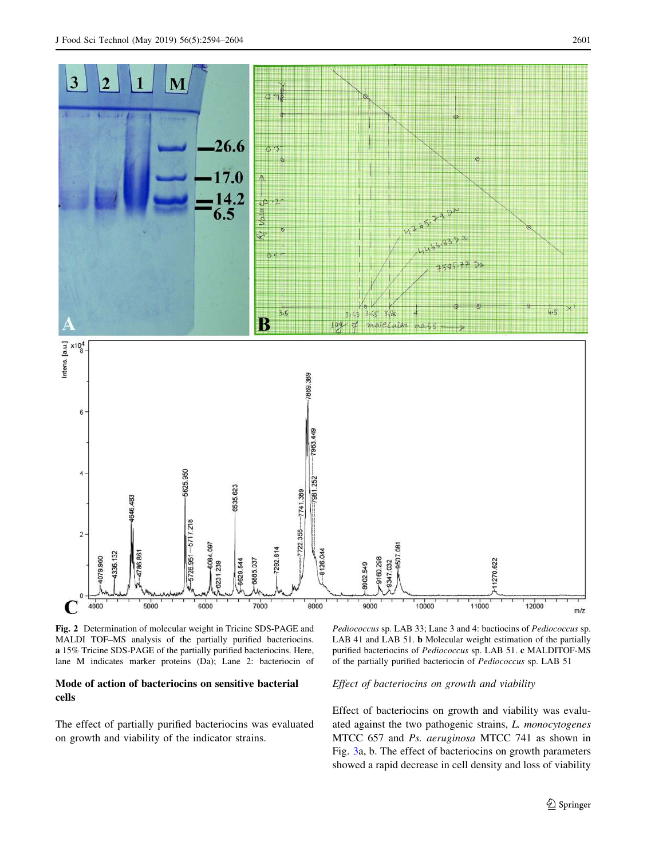<span id="page-7-0"></span>

Fig. 2 Determination of molecular weight in Tricine SDS-PAGE and MALDI TOF–MS analysis of the partially purified bacteriocins. a 15% Tricine SDS-PAGE of the partially purified bacteriocins. Here, lane M indicates marker proteins (Da); Lane 2: bacteriocin of

## Mode of action of bacteriocins on sensitive bacterial cells

The effect of partially purified bacteriocins was evaluated on growth and viability of the indicator strains.

Pediococcus sp. LAB 33; Lane 3 and 4: bactiocins of Pediococcus sp. LAB 41 and LAB 51. b Molecular weight estimation of the partially purified bacteriocins of Pediococcus sp. LAB 51. c MALDITOF-MS of the partially purified bacteriocin of Pediococcus sp. LAB 51

#### Effect of bacteriocins on growth and viability

Effect of bacteriocins on growth and viability was evaluated against the two pathogenic strains, L. monocytogenes MTCC 657 and Ps. aeruginosa MTCC 741 as shown in Fig. [3](#page-9-0)a, b. The effect of bacteriocins on growth parameters showed a rapid decrease in cell density and loss of viability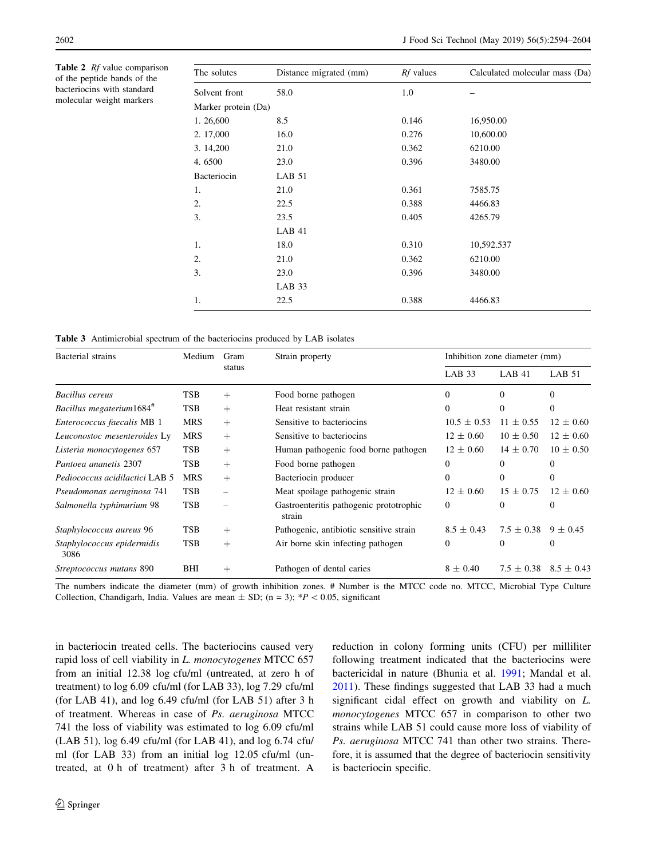<span id="page-8-0"></span>Table 2 Rf value comparison of the peptide bands of the bacteriocins with standard molecular weight markers

| The solutes         | Distance migrated (mm) | <i>Rf</i> values | Calculated molecular mass (Da) |
|---------------------|------------------------|------------------|--------------------------------|
| Solvent front       | 58.0                   | 1.0              |                                |
| Marker protein (Da) |                        |                  |                                |
| 1.26,600            | 8.5                    | 0.146            | 16,950.00                      |
| 2. 17,000           | 16.0                   | 0.276            | 10,600.00                      |
| 3. 14,200           | 21.0                   | 0.362            | 6210.00                        |
| 4.6500              | 23.0                   | 0.396            | 3480.00                        |
| Bacteriocin         | LAB 51                 |                  |                                |
| 1.                  | 21.0                   | 0.361            | 7585.75                        |
| 2.                  | 22.5                   | 0.388            | 4466.83                        |
| 3.                  | 23.5                   | 0.405            | 4265.79                        |
|                     | LAB 41                 |                  |                                |
| 1.                  | 18.0                   | 0.310            | 10,592.537                     |
| 2.                  | 21.0                   | 0.362            | 6210.00                        |
| 3.                  | 23.0                   | 0.396            | 3480.00                        |
|                     | LAB <sub>33</sub>      |                  |                                |
| 1.                  | 22.5                   | 0.388            | 4466.83                        |

|  |  |  |  |  |  | <b>Table 3</b> Antimicrobial spectrum of the bacteriocins produced by LAB isolates |
|--|--|--|--|--|--|------------------------------------------------------------------------------------|
|--|--|--|--|--|--|------------------------------------------------------------------------------------|

| Bacterial strains                  | Medium     | Gram<br>status | Strain property                                   | Inhibition zone diameter (mm) |                |                |
|------------------------------------|------------|----------------|---------------------------------------------------|-------------------------------|----------------|----------------|
|                                    |            |                |                                                   | LAB 33                        | LAB 41         | LAB 51         |
| Bacillus cereus                    | <b>TSB</b> | $^{+}$         | Food borne pathogen                               | $\Omega$                      | $\Omega$       | $\Omega$       |
| Bacillus megaterium1684#           | <b>TSB</b> | $+$            | Heat resistant strain                             | $\Omega$                      | $\Omega$       | $\Omega$       |
| Enterococcus faecalis MB 1         | <b>MRS</b> | $^{+}$         | Sensitive to bacteriocins                         | $10.5 \pm 0.53$               | $11 \pm 0.55$  | $12 \pm 0.60$  |
| Leuconostoc mesenteroides Ly       | <b>MRS</b> | $^{+}$         | Sensitive to bacteriocins                         | $12 \pm 0.60$                 | $10 \pm 0.50$  | $12 \pm 0.60$  |
| Listeria monocytogenes 657         | <b>TSB</b> | $+$            | Human pathogenic food borne pathogen              | $12 \pm 0.60$                 | $14 \pm 0.70$  | $10 \pm 0.50$  |
| Pantoea ananetis 2307              | TSB        | $^{+}$         | Food borne pathogen                               | $\Omega$                      | $\Omega$       | $\Omega$       |
| Pediococcus acidilactici LAB 5     | <b>MRS</b> | $^{+}$         | Bacteriocin producer                              | $\Omega$                      | $\Omega$       | $\Omega$       |
| Pseudomonas aeruginosa 741         | <b>TSB</b> |                | Meat spoilage pathogenic strain                   | $12 \pm 0.60$                 | $15 \pm 0.75$  | $12 \pm 0.60$  |
| Salmonella typhimurium 98          | TSB        |                | Gastroenteritis pathogenic prototrophic<br>strain | $\overline{0}$                | $\theta$       | $\theta$       |
| Staphylococcus aureus 96           | <b>TSB</b> | $^{+}$         | Pathogenic, antibiotic sensitive strain           | $8.5 \pm 0.43$                | $7.5 \pm 0.38$ | $9 \pm 0.45$   |
| Staphylococcus epidermidis<br>3086 | TSB        | $+$            | Air borne skin infecting pathogen                 | $\mathbf{0}$                  | $\theta$       | $\Omega$       |
| Streptococcus mutans 890           | BHI        | $^+$           | Pathogen of dental caries                         | $8 \pm 0.40$                  | $7.5 \pm 0.38$ | $8.5 \pm 0.43$ |

The numbers indicate the diameter (mm) of growth inhibition zones. # Number is the MTCC code no. MTCC, Microbial Type Culture Collection, Chandigarh, India. Values are mean  $\pm$  SD; (n = 3); \*P < 0.05, significant

in bacteriocin treated cells. The bacteriocins caused very rapid loss of cell viability in L. monocytogenes MTCC 657 from an initial 12.38 log cfu/ml (untreated, at zero h of treatment) to log 6.09 cfu/ml (for LAB 33), log 7.29 cfu/ml (for LAB 41), and log 6.49 cfu/ml (for LAB 51) after 3 h of treatment. Whereas in case of Ps. aeruginosa MTCC 741 the loss of viability was estimated to log 6.09 cfu/ml (LAB 51), log 6.49 cfu/ml (for LAB 41), and log 6.74 cfu/ ml (for LAB 33) from an initial log 12.05 cfu/ml (untreated, at 0 h of treatment) after 3 h of treatment. A reduction in colony forming units (CFU) per milliliter following treatment indicated that the bacteriocins were bactericidal in nature (Bhunia et al. [1991;](#page-10-0) Mandal et al. [2011](#page-10-0)). These findings suggested that LAB 33 had a much significant cidal effect on growth and viability on L. monocytogenes MTCC 657 in comparison to other two strains while LAB 51 could cause more loss of viability of Ps. aeruginosa MTCC 741 than other two strains. Therefore, it is assumed that the degree of bacteriocin sensitivity is bacteriocin specific.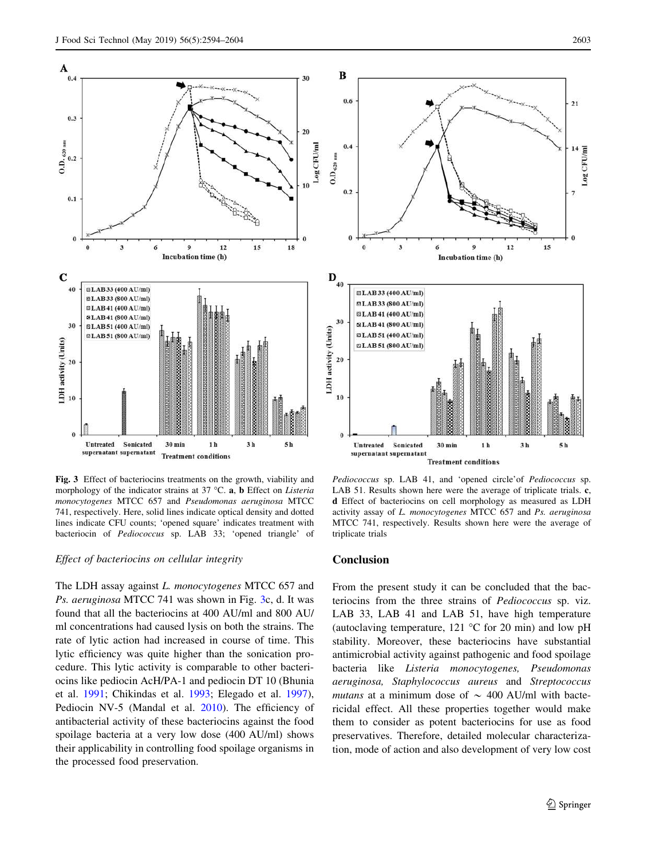<span id="page-9-0"></span>

Fig. 3 Effect of bacteriocins treatments on the growth, viability and morphology of the indicator strains at 37 °C.  $a$ ,  $b$  Effect on Listeria monocytogenes MTCC 657 and Pseudomonas aeruginosa MTCC 741, respectively. Here, solid lines indicate optical density and dotted lines indicate CFU counts; 'opened square' indicates treatment with bacteriocin of Pediococcus sp. LAB 33; 'opened triangle' of

#### Effect of bacteriocins on cellular integrity

The LDH assay against *L. monocytogenes* MTCC 657 and Ps. aeruginosa MTCC 741 was shown in Fig. 3c, d. It was found that all the bacteriocins at 400 AU/ml and 800 AU/ ml concentrations had caused lysis on both the strains. The rate of lytic action had increased in course of time. This lytic efficiency was quite higher than the sonication procedure. This lytic activity is comparable to other bacteriocins like pediocin AcH/PA-1 and pediocin DT 10 (Bhunia et al. [1991](#page-10-0); Chikindas et al. [1993;](#page-10-0) Elegado et al. [1997](#page-10-0)), Pediocin NV-5 (Mandal et al. [2010\)](#page-10-0). The efficiency of antibacterial activity of these bacteriocins against the food spoilage bacteria at a very low dose (400 AU/ml) shows their applicability in controlling food spoilage organisms in the processed food preservation.



Pediococcus sp. LAB 41, and 'opened circle' of Pediococcus sp. LAB 51. Results shown here were the average of triplicate trials. c, d Effect of bacteriocins on cell morphology as measured as LDH activity assay of L. monocytogenes MTCC 657 and Ps. aeruginosa MTCC 741, respectively. Results shown here were the average of triplicate trials

#### Conclusion

From the present study it can be concluded that the bacteriocins from the three strains of Pediococcus sp. viz. LAB 33, LAB 41 and LAB 51, have high temperature (autoclaving temperature,  $121 \text{ °C}$  for 20 min) and low pH stability. Moreover, these bacteriocins have substantial antimicrobial activity against pathogenic and food spoilage bacteria like Listeria monocytogenes, Pseudomonas aeruginosa, Staphylococcus aureus and Streptococcus mutans at a minimum dose of  $\sim$  400 AU/ml with bactericidal effect. All these properties together would make them to consider as potent bacteriocins for use as food preservatives. Therefore, detailed molecular characterization, mode of action and also development of very low cost